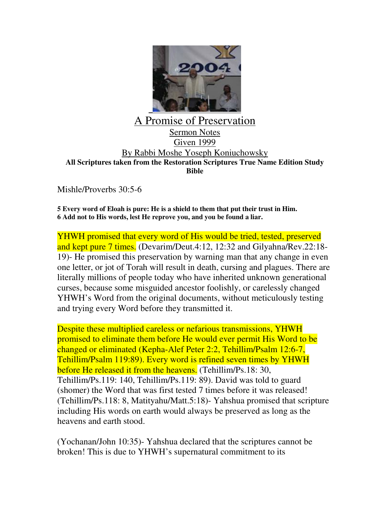

## A Promise of Preservation Sermon Notes Given 1999 By Rabbi Moshe Yoseph Koniuchowsky **All Scriptures taken from the Restoration Scriptures True Name Edition Study Bible**

Mishle/Proverbs 30:5-6

**5 Every word of Eloah is pure: He is a shield to them that put their trust in Him. 6 Add not to His words, lest He reprove you, and you be found a liar.**

YHWH promised that every word of His would be tried, tested, preserved and kept pure 7 times. (Devarim/Deut.4:12, 12:32 and Gilyahna/Rev.22:18- 19)- He promised this preservation by warning man that any change in even one letter, or jot of Torah will result in death, cursing and plagues. There are literally millions of people today who have inherited unknown generational curses, because some misguided ancestor foolishly, or carelessly changed YHWH's Word from the original documents, without meticulously testing and trying every Word before they transmitted it.

Despite these multiplied careless or nefarious transmissions, YHWH promised to eliminate them before He would ever permit His Word to be changed or eliminated (Kepha-Alef Peter 2:2, Tehillim/Psalm 12:6-7, Tehillim/Psalm 119:89). Every word is refined seven times by YHWH before He released it from the heavens. (Tehillim/Ps.18: 30, Tehillim/Ps.119: 140, Tehillim/Ps.119: 89). David was told to guard (shomer) the Word that was first tested 7 times before it was released! (Tehillim/Ps.118: 8, Matityahu/Matt.5:18)- Yahshua promised that scripture including His words on earth would always be preserved as long as the heavens and earth stood.

(Yochanan/John 10:35)- Yahshua declared that the scriptures cannot be broken! This is due to YHWH's supernatural commitment to its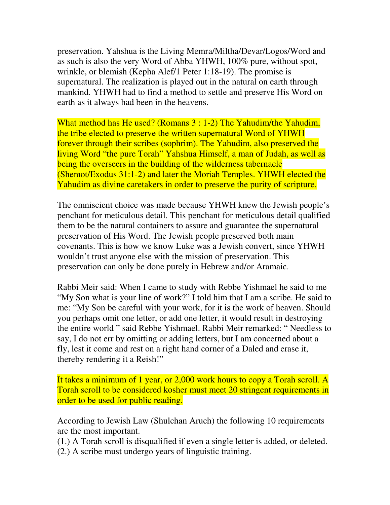preservation. Yahshua is the Living Memra/Miltha/Devar/Logos/Word and as such is also the very Word of Abba YHWH, 100% pure, without spot, wrinkle, or blemish (Kepha Alef/1 Peter 1:18-19). The promise is supernatural. The realization is played out in the natural on earth through mankind. YHWH had to find a method to settle and preserve His Word on earth as it always had been in the heavens.

What method has He used? (Romans 3 : 1-2) The Yahudim/the Yahudim, the tribe elected to preserve the written supernatural Word of YHWH forever through their scribes (sophrim). The Yahudim, also preserved the living Word "the pure Torah" Yahshua Himself, a man of Judah, as well as being the overseers in the building of the wilderness tabernacle (Shemot/Exodus 31:1-2) and later the Moriah Temples. YHWH elected the Yahudim as divine caretakers in order to preserve the purity of scripture.

The omniscient choice was made because YHWH knew the Jewish people's penchant for meticulous detail. This penchant for meticulous detail qualified them to be the natural containers to assure and guarantee the supernatural preservation of His Word. The Jewish people preserved both main covenants. This is how we know Luke was a Jewish convert, since YHWH wouldn't trust anyone else with the mission of preservation. This preservation can only be done purely in Hebrew and/or Aramaic.

Rabbi Meir said: When I came to study with Rebbe Yishmael he said to me "My Son what is your line of work?" I told him that I am a scribe. He said to me: "My Son be careful with your work, for it is the work of heaven. Should you perhaps omit one letter, or add one letter, it would result in destroying the entire world " said Rebbe Yishmael. Rabbi Meir remarked: " Needless to say, I do not err by omitting or adding letters, but I am concerned about a fly, lest it come and rest on a right hand corner of a Daled and erase it, thereby rendering it a Reish!"

It takes a minimum of 1 year, or 2,000 work hours to copy a Torah scroll. A Torah scroll to be considered kosher must meet 20 stringent requirements in order to be used for public reading.

According to Jewish Law (Shulchan Aruch) the following 10 requirements are the most important.

(1.) A Torah scroll is disqualified if even a single letter is added, or deleted.

(2.) A scribe must undergo years of linguistic training.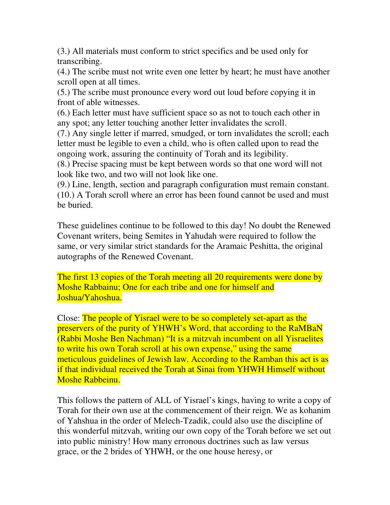(3.) All materials must conform to strict specifics and be used only for transcribing.

(4.) The scribe must not write even one letter by heart; he must have another scroll open at all times.

(5.) The scribe must pronounce every word out loud before copying it in front of able witnesses.

(6.) Each letter must have sufficient space so as not to touch each other in any spot; any letter touching another letter invalidates the scroll.

(7.) Any single letter if marred, smudged, or torn invalidates the scroll; each letter must be legible to even a child, who is often called upon to read the ongoing work, assuring the continuity of Torah and its legibility.

(8.) Precise spacing must be kept between words so that one word will not look like two, and two will not look like one.

(9.) Line, length, section and paragraph configuration must remain constant. (10.) A Torah scroll where an error has been found cannot be used and must be buried.

These guidelines continue to be followed to this day! No doubt the Renewed Covenant writers, being Semites in Yahudah were required to follow the same, or very similar strict standards for the Aramaic Peshitta, the original autographs of the Renewed Covenant.

The first 13 copies of the Torah meeting all 20 requirements were done by Moshe Rabbainu; One for each tribe and one for himself and Joshua/Yahoshua.

Close: The people of Yisrael were to be so completely set-apart as the preservers of the purity of YHWH's Word, that according to the RaMBaN (Rabbi Moshe Ben Nachman) "It is a mitzvah incumbent on all Yisraelites to write his own Torah scroll at his own expense," using the same meticulous guidelines of Jewish law. According to the Ramban this act is as if that individual received the Torah at Sinai from YHWH Himself without Moshe Rabbeinu.

This follows the pattern of ALL of Yisrael's kings, having to write a copy of Torah for their own use at the commencement of their reign. We as kohanim of Yahshua in the order of Melech-Tzadik, could also use the discipline of this wonderful mitzvah, writing our own copy of the Torah before we set out into public ministry! How many erronous doctrines such as law versus grace, or the 2 brides of YHWH, or the one house heresy, or